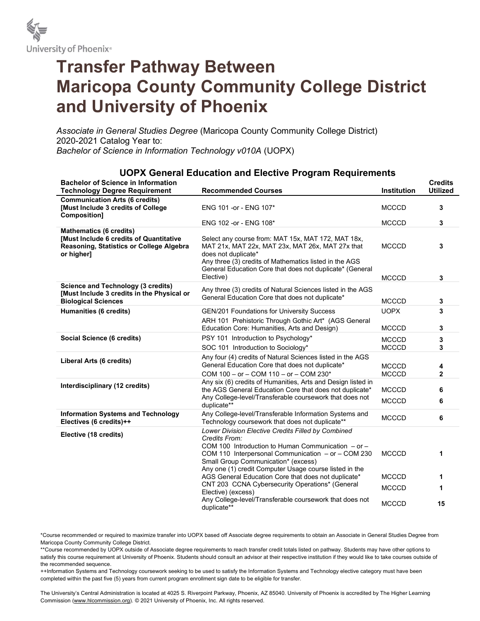

## Transfer Pathway Between Maricopa County Community College District and University of Phoenix

Associate in General Studies Degree (Maricopa County Community College District) 2020-2021 Catalog Year to: Bachelor of Science in Information Technology v010A (UOPX)

| <b>Bachelor of Science in Information</b><br><b>Technology Degree Requirement</b>                                                   | <b>Recommended Courses</b>                                                                                                                                                                                                                                       | <b>Institution</b>           | <b>Credits</b><br><b>Utilized</b> |
|-------------------------------------------------------------------------------------------------------------------------------------|------------------------------------------------------------------------------------------------------------------------------------------------------------------------------------------------------------------------------------------------------------------|------------------------------|-----------------------------------|
| <b>Communication Arts (6 credits)</b><br><b>[Must Include 3 credits of College</b><br>Composition]                                  | ENG 101 -or - ENG 107*                                                                                                                                                                                                                                           | <b>MCCCD</b>                 | 3                                 |
|                                                                                                                                     | ENG 102 - or - ENG 108*                                                                                                                                                                                                                                          | <b>MCCCD</b>                 | 3                                 |
| <b>Mathematics (6 credits)</b><br>[Must Include 6 credits of Quantitative<br>Reasoning, Statistics or College Algebra<br>or higher] | Select any course from: MAT 15x, MAT 172, MAT 18x,<br>MAT 21x, MAT 22x, MAT 23x, MAT 26x, MAT 27x that<br>does not duplicate*<br>Any three (3) credits of Mathematics listed in the AGS<br>General Education Core that does not duplicate* (General<br>Elective) | <b>MCCCD</b><br><b>MCCCD</b> | 3<br>3                            |
| <b>Science and Technology (3 credits)</b><br>[Must Include 3 credits in the Physical or<br><b>Biological Sciences</b>               | Any three (3) credits of Natural Sciences listed in the AGS<br>General Education Core that does not duplicate*                                                                                                                                                   | <b>MCCCD</b>                 | 3                                 |
| Humanities (6 credits)                                                                                                              | <b>GEN/201 Foundations for University Success</b>                                                                                                                                                                                                                | <b>UOPX</b>                  | 3                                 |
|                                                                                                                                     | ARH 101 Prehistoric Through Gothic Art* (AGS General<br>Education Core: Humanities, Arts and Design)                                                                                                                                                             | <b>MCCCD</b>                 | 3                                 |
| Social Science (6 credits)                                                                                                          | PSY 101 Introduction to Psychology*                                                                                                                                                                                                                              | <b>MCCCD</b>                 | 3                                 |
|                                                                                                                                     | SOC 101 Introduction to Sociology*                                                                                                                                                                                                                               | <b>MCCCD</b>                 | 3                                 |
| Liberal Arts (6 credits)                                                                                                            | Any four (4) credits of Natural Sciences listed in the AGS<br>General Education Core that does not duplicate*<br>COM $100 - or - COM 110 - or - COM 230*$                                                                                                        | <b>MCCCD</b><br><b>MCCCD</b> | 4<br>$\mathbf{2}$                 |
| Interdisciplinary (12 credits)                                                                                                      | Any six (6) credits of Humanities, Arts and Design listed in<br>the AGS General Education Core that does not duplicate*                                                                                                                                          | <b>MCCCD</b>                 | 6                                 |
|                                                                                                                                     | Any College-level/Transferable coursework that does not<br>duplicate**                                                                                                                                                                                           | <b>MCCCD</b>                 | 6                                 |
| <b>Information Systems and Technology</b><br>Electives (6 credits)++                                                                | Any College-level/Transferable Information Systems and<br>Technology coursework that does not duplicate**                                                                                                                                                        | <b>MCCCD</b>                 | 6                                 |
| Elective (18 credits)                                                                                                               | <b>Lower Division Elective Credits Filled by Combined</b><br>Credits From:                                                                                                                                                                                       |                              |                                   |
|                                                                                                                                     | COM 100 Introduction to Human Communication $-$ or $-$<br>COM 110 Interpersonal Communication - or - COM 230<br>Small Group Communication* (excess)                                                                                                              | <b>MCCCD</b>                 | 1                                 |
|                                                                                                                                     | Any one (1) credit Computer Usage course listed in the<br>AGS General Education Core that does not duplicate*                                                                                                                                                    | <b>MCCCD</b>                 | 1                                 |
|                                                                                                                                     | CNT 203 CCNA Cybersecurity Operations* (General<br>Elective) (excess)                                                                                                                                                                                            | <b>MCCCD</b>                 | 1                                 |
|                                                                                                                                     | Any College-level/Transferable coursework that does not<br>duplicate**                                                                                                                                                                                           | <b>MCCCD</b>                 | 15                                |

## UOPX General Education and Elective Program Requirements

\*Course recommended or required to maximize transfer into UOPX based off Associate degree requirements to obtain an Associate in General Studies Degree from Maricopa County Community College District.

\*\*Course recommended by UOPX outside of Associate degree requirements to reach transfer credit totals listed on pathway. Students may have other options to satisfy this course requirement at University of Phoenix. Students should consult an advisor at their respective institution if they would like to take courses outside of the recommended sequence.

++Information Systems and Technology coursework seeking to be used to satisfy the Information Systems and Technology elective category must have been completed within the past five (5) years from current program enrollment sign date to be eligible for transfer.

The University's Central Administration is located at 4025 S. Riverpoint Parkway, Phoenix, AZ 85040. University of Phoenix is accredited by The Higher Learning Commission (www.hlcommission.org). © 2021 University of Phoenix, Inc. All rights reserved.